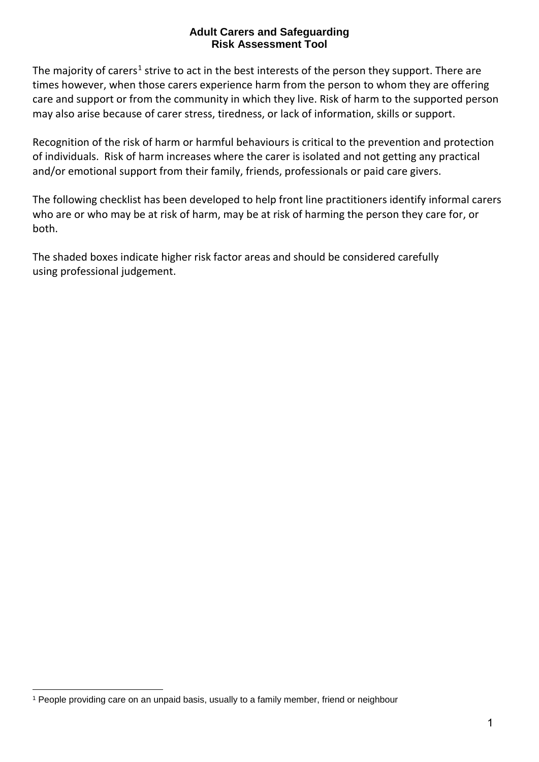## **Adult Carers and Safeguarding Risk Assessment Tool**

The majority of carers<sup>[1](#page-0-0)</sup> strive to act in the best interests of the person they support. There are times however, when those carers experience harm from the person to whom they are offering care and support or from the community in which they live. Risk of harm to the supported person may also arise because of carer stress, tiredness, or lack of information, skills or support.

Recognition of the risk of harm or harmful behaviours is critical to the prevention and protection of individuals. Risk of harm increases where the carer is isolated and not getting any practical and/or emotional support from their family, friends, professionals or paid care givers.

The following checklist has been developed to help front line practitioners identify informal carers who are or who may be at risk of harm, may be at risk of harming the person they care for, or both.

The shaded boxes indicate higher risk factor areas and should be considered carefully using professional judgement.

<span id="page-0-0"></span><sup>1</sup> People providing care on an unpaid basis, usually to a family member, friend or neighbour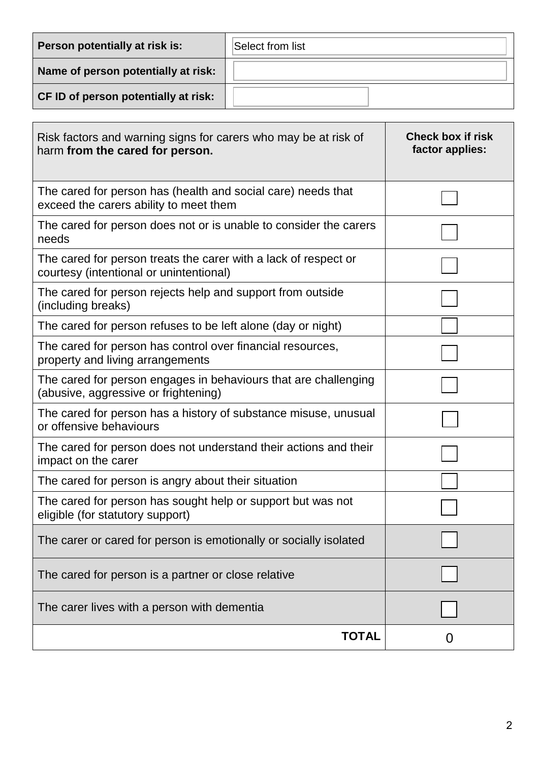| Person potentially at risk is:              | Select from list |
|---------------------------------------------|------------------|
| Name of person potentially at risk:         |                  |
| <b>CF ID of person potentially at risk:</b> |                  |

| Risk factors and warning signs for carers who may be at risk of<br>harm from the cared for person.         | <b>Check box if risk</b><br>factor applies: |
|------------------------------------------------------------------------------------------------------------|---------------------------------------------|
| The cared for person has (health and social care) needs that<br>exceed the carers ability to meet them     |                                             |
| The cared for person does not or is unable to consider the carers<br>needs                                 |                                             |
| The cared for person treats the carer with a lack of respect or<br>courtesy (intentional or unintentional) |                                             |
| The cared for person rejects help and support from outside<br>(including breaks)                           |                                             |
| The cared for person refuses to be left alone (day or night)                                               |                                             |
| The cared for person has control over financial resources,<br>property and living arrangements             |                                             |
| The cared for person engages in behaviours that are challenging<br>(abusive, aggressive or frightening)    |                                             |
| The cared for person has a history of substance misuse, unusual<br>or offensive behaviours                 |                                             |
| The cared for person does not understand their actions and their<br>impact on the carer                    |                                             |
| The cared for person is angry about their situation                                                        |                                             |
| The cared for person has sought help or support but was not<br>eligible (for statutory support)            |                                             |
| The carer or cared for person is emotionally or socially isolated                                          |                                             |
| The cared for person is a partner or close relative                                                        |                                             |
| The carer lives with a person with dementia                                                                |                                             |
| <b>TOTAL</b>                                                                                               | O                                           |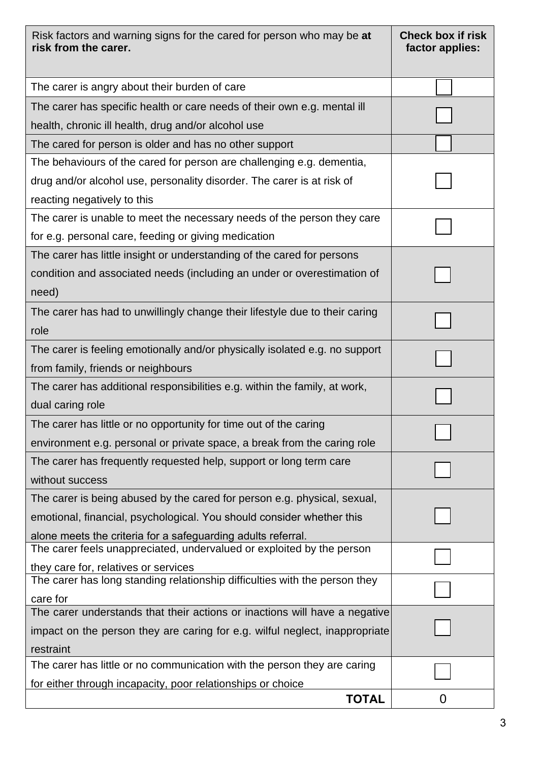| Risk factors and warning signs for the cared for person who may be at<br>risk from the carer.                      | <b>Check box if risk</b><br>factor applies: |
|--------------------------------------------------------------------------------------------------------------------|---------------------------------------------|
| The carer is angry about their burden of care                                                                      |                                             |
| The carer has specific health or care needs of their own e.g. mental ill                                           |                                             |
| health, chronic ill health, drug and/or alcohol use                                                                |                                             |
| The cared for person is older and has no other support                                                             |                                             |
| The behaviours of the cared for person are challenging e.g. dementia,                                              |                                             |
| drug and/or alcohol use, personality disorder. The carer is at risk of                                             |                                             |
| reacting negatively to this                                                                                        |                                             |
| The carer is unable to meet the necessary needs of the person they care                                            |                                             |
| for e.g. personal care, feeding or giving medication                                                               |                                             |
| The carer has little insight or understanding of the cared for persons                                             |                                             |
| condition and associated needs (including an under or overestimation of                                            |                                             |
| need)                                                                                                              |                                             |
| The carer has had to unwillingly change their lifestyle due to their caring                                        |                                             |
| role                                                                                                               |                                             |
| The carer is feeling emotionally and/or physically isolated e.g. no support                                        |                                             |
| from family, friends or neighbours                                                                                 |                                             |
| The carer has additional responsibilities e.g. within the family, at work,                                         |                                             |
| dual caring role                                                                                                   |                                             |
| The carer has little or no opportunity for time out of the caring                                                  |                                             |
| environment e.g. personal or private space, a break from the caring role                                           |                                             |
| The carer has frequently requested help, support or long term care                                                 |                                             |
| without success                                                                                                    |                                             |
| The carer is being abused by the cared for person e.g. physical, sexual,                                           |                                             |
| emotional, financial, psychological. You should consider whether this                                              |                                             |
| alone meets the criteria for a safeguarding adults referral.                                                       |                                             |
| The carer feels unappreciated, undervalued or exploited by the person                                              |                                             |
| they care for, relatives or services<br>The carer has long standing relationship difficulties with the person they |                                             |
| care for                                                                                                           |                                             |
| The carer understands that their actions or inactions will have a negative                                         |                                             |
| impact on the person they are caring for e.g. wilful neglect, inappropriate                                        |                                             |
| restraint                                                                                                          |                                             |
| The carer has little or no communication with the person they are caring                                           |                                             |
| for either through incapacity, poor relationships or choice                                                        |                                             |
| <b>TOTAL</b>                                                                                                       | $\mathcal{L}$                               |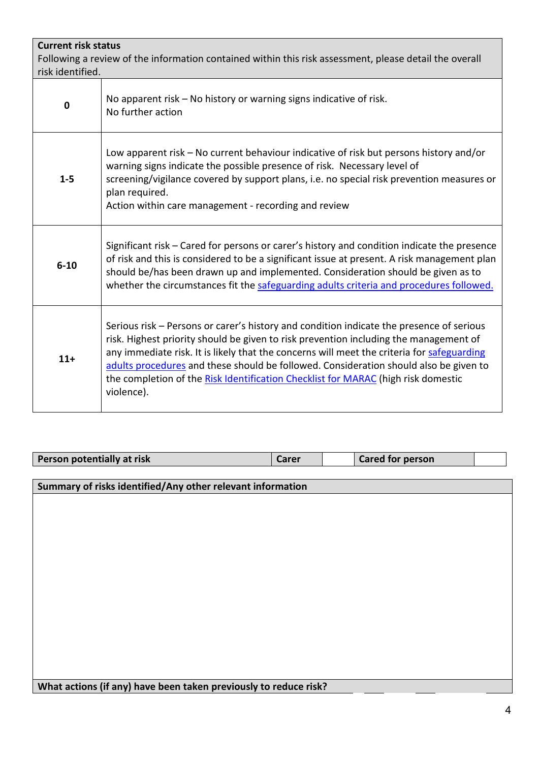| <b>Current risk status</b><br>Following a review of the information contained within this risk assessment, please detail the overall<br>risk identified. |                                                                                                                                                                                                                                                                                                                                                                                                                                                                             |  |  |  |
|----------------------------------------------------------------------------------------------------------------------------------------------------------|-----------------------------------------------------------------------------------------------------------------------------------------------------------------------------------------------------------------------------------------------------------------------------------------------------------------------------------------------------------------------------------------------------------------------------------------------------------------------------|--|--|--|
| $\mathbf 0$                                                                                                                                              | No apparent risk – No history or warning signs indicative of risk.<br>No further action                                                                                                                                                                                                                                                                                                                                                                                     |  |  |  |
| $1 - 5$                                                                                                                                                  | Low apparent risk – No current behaviour indicative of risk but persons history and/or<br>warning signs indicate the possible presence of risk. Necessary level of<br>screening/vigilance covered by support plans, i.e. no special risk prevention measures or<br>plan required.<br>Action within care management - recording and review                                                                                                                                   |  |  |  |
| $6 - 10$                                                                                                                                                 | Significant risk – Cared for persons or carer's history and condition indicate the presence<br>of risk and this is considered to be a significant issue at present. A risk management plan<br>should be/has been drawn up and implemented. Consideration should be given as to<br>whether the circumstances fit the safeguarding adults criteria and procedures followed.                                                                                                   |  |  |  |
| $11+$                                                                                                                                                    | Serious risk – Persons or carer's history and condition indicate the presence of serious<br>risk. Highest priority should be given to risk prevention including the management of<br>any immediate risk. It is likely that the concerns will meet the criteria for safeguarding<br>adults procedures and these should be followed. Consideration should also be given to<br>the completion of the Risk Identification Checklist for MARAC (high risk domestic<br>violence). |  |  |  |

| Person potentially at risk<br><b>Cared for person</b><br>Carer |
|----------------------------------------------------------------|
|----------------------------------------------------------------|

**Summary of risks identified/Any other relevant information**

**What actions (if any) have been taken previously to reduce risk?**